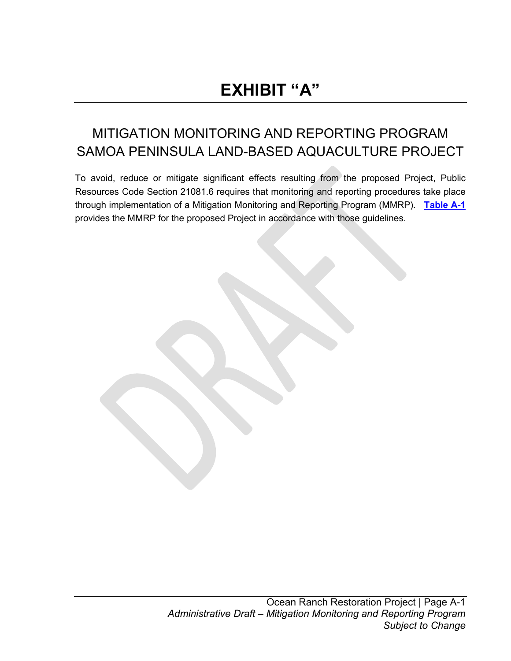## **EXHIBIT "A"**

## MITIGATION MONITORING AND REPORTING PROGRAM SAMOA PENINSULA LAND-BASED AQUACULTURE PROJECT

To avoid, reduce or mitigate significant effects resulting from the proposed Project, Public Resources Code Section 21081.6 requires that monitoring and reporting procedures take place through implementation of a Mitigation Monitoring and Reporting Program (MMRP). **[Table A-1](#page-1-0)** provides the MMRP for the proposed Project in accordance with those guidelines.

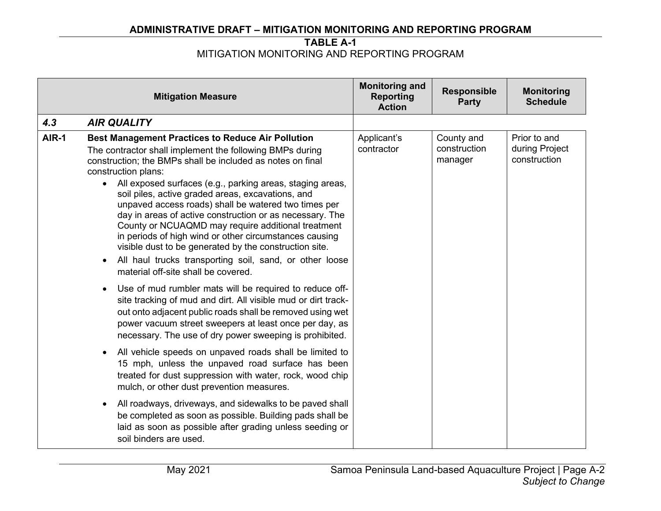## **ADMINISTRATIVE DRAFT – MITIGATION MONITORING AND REPORTING PROGRAM**

## **TABLE A-1** MITIGATION MONITORING AND REPORTING PROGRAM

<span id="page-1-0"></span>

|              | <b>Mitigation Measure</b>                                                                                                                                                                                                                                                                                                                                                                                                                                                                                                                                                                                                                                                                                                                                                                                                                                                                                                                                                                                                                                                                                                                                                                                                                                                                                                                                                                                                                                                       | <b>Monitoring and</b><br><b>Reporting</b><br><b>Action</b> | <b>Responsible</b><br><b>Party</b>    | <b>Monitoring</b><br><b>Schedule</b>           |
|--------------|---------------------------------------------------------------------------------------------------------------------------------------------------------------------------------------------------------------------------------------------------------------------------------------------------------------------------------------------------------------------------------------------------------------------------------------------------------------------------------------------------------------------------------------------------------------------------------------------------------------------------------------------------------------------------------------------------------------------------------------------------------------------------------------------------------------------------------------------------------------------------------------------------------------------------------------------------------------------------------------------------------------------------------------------------------------------------------------------------------------------------------------------------------------------------------------------------------------------------------------------------------------------------------------------------------------------------------------------------------------------------------------------------------------------------------------------------------------------------------|------------------------------------------------------------|---------------------------------------|------------------------------------------------|
| 4.3          | <b>AIR QUALITY</b>                                                                                                                                                                                                                                                                                                                                                                                                                                                                                                                                                                                                                                                                                                                                                                                                                                                                                                                                                                                                                                                                                                                                                                                                                                                                                                                                                                                                                                                              |                                                            |                                       |                                                |
| <b>AIR-1</b> | <b>Best Management Practices to Reduce Air Pollution</b><br>The contractor shall implement the following BMPs during<br>construction; the BMPs shall be included as notes on final<br>construction plans:<br>All exposed surfaces (e.g., parking areas, staging areas,<br>soil piles, active graded areas, excavations, and<br>unpaved access roads) shall be watered two times per<br>day in areas of active construction or as necessary. The<br>County or NCUAQMD may require additional treatment<br>in periods of high wind or other circumstances causing<br>visible dust to be generated by the construction site.<br>All haul trucks transporting soil, sand, or other loose<br>material off-site shall be covered.<br>Use of mud rumbler mats will be required to reduce off-<br>site tracking of mud and dirt. All visible mud or dirt track-<br>out onto adjacent public roads shall be removed using wet<br>power vacuum street sweepers at least once per day, as<br>necessary. The use of dry power sweeping is prohibited.<br>All vehicle speeds on unpaved roads shall be limited to<br>15 mph, unless the unpaved road surface has been<br>treated for dust suppression with water, rock, wood chip<br>mulch, or other dust prevention measures.<br>All roadways, driveways, and sidewalks to be paved shall<br>be completed as soon as possible. Building pads shall be<br>laid as soon as possible after grading unless seeding or<br>soil binders are used. | Applicant's<br>contractor                                  | County and<br>construction<br>manager | Prior to and<br>during Project<br>construction |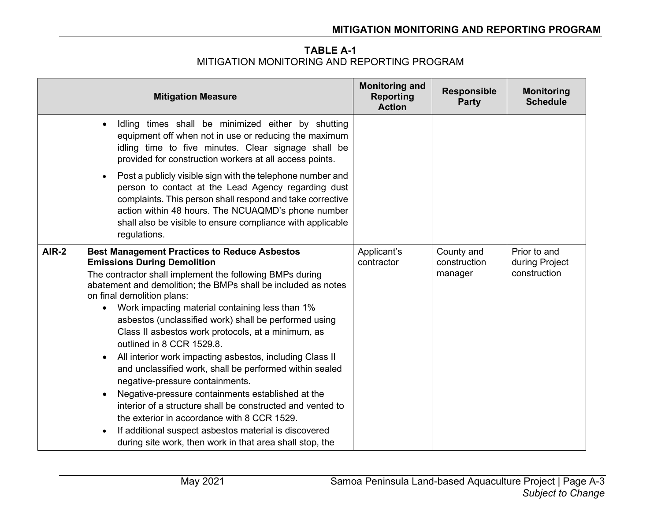| <b>TABLE A-1</b>                            |
|---------------------------------------------|
| MITIGATION MONITORING AND REPORTING PROGRAM |

| <b>Mitigation Measure</b>                                                                                                                                                                                                                                                                                                                                                                                                                                                                                                                                                                                                                                                                                                                                                                                                                                                                                            | <b>Monitoring and</b><br><b>Reporting</b><br><b>Action</b> | <b>Responsible</b><br><b>Party</b>    | <b>Monitoring</b><br><b>Schedule</b>           |
|----------------------------------------------------------------------------------------------------------------------------------------------------------------------------------------------------------------------------------------------------------------------------------------------------------------------------------------------------------------------------------------------------------------------------------------------------------------------------------------------------------------------------------------------------------------------------------------------------------------------------------------------------------------------------------------------------------------------------------------------------------------------------------------------------------------------------------------------------------------------------------------------------------------------|------------------------------------------------------------|---------------------------------------|------------------------------------------------|
| Idling times shall be minimized either by shutting<br>equipment off when not in use or reducing the maximum<br>idling time to five minutes. Clear signage shall be<br>provided for construction workers at all access points.                                                                                                                                                                                                                                                                                                                                                                                                                                                                                                                                                                                                                                                                                        |                                                            |                                       |                                                |
| Post a publicly visible sign with the telephone number and<br>person to contact at the Lead Agency regarding dust<br>complaints. This person shall respond and take corrective<br>action within 48 hours. The NCUAQMD's phone number<br>shall also be visible to ensure compliance with applicable<br>regulations.                                                                                                                                                                                                                                                                                                                                                                                                                                                                                                                                                                                                   |                                                            |                                       |                                                |
| <b>AIR-2</b><br><b>Best Management Practices to Reduce Asbestos</b><br><b>Emissions During Demolition</b><br>The contractor shall implement the following BMPs during<br>abatement and demolition; the BMPs shall be included as notes<br>on final demolition plans:<br>Work impacting material containing less than 1%<br>asbestos (unclassified work) shall be performed using<br>Class II asbestos work protocols, at a minimum, as<br>outlined in 8 CCR 1529.8.<br>All interior work impacting asbestos, including Class II<br>and unclassified work, shall be performed within sealed<br>negative-pressure containments.<br>Negative-pressure containments established at the<br>interior of a structure shall be constructed and vented to<br>the exterior in accordance with 8 CCR 1529.<br>If additional suspect asbestos material is discovered<br>during site work, then work in that area shall stop, the | Applicant's<br>contractor                                  | County and<br>construction<br>manager | Prior to and<br>during Project<br>construction |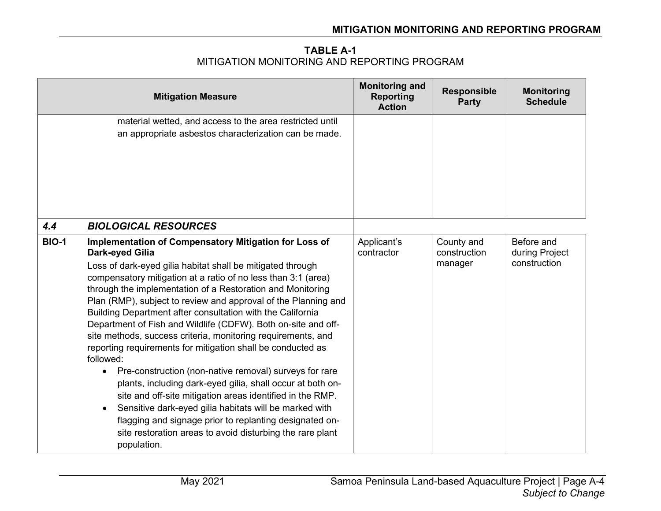**TABLE A-1** MITIGATION MONITORING AND REPORTING PROGRAM

|              | <b>Mitigation Measure</b>                                                                                                                                                                                                                                                                                                                                                                                                                                                                                                                                                                                                                                                                                                                                                                                                                                                                                                                                                                                             | <b>Monitoring and</b><br><b>Reporting</b><br><b>Action</b> | <b>Responsible</b><br><b>Party</b>    | <b>Monitoring</b><br><b>Schedule</b>         |
|--------------|-----------------------------------------------------------------------------------------------------------------------------------------------------------------------------------------------------------------------------------------------------------------------------------------------------------------------------------------------------------------------------------------------------------------------------------------------------------------------------------------------------------------------------------------------------------------------------------------------------------------------------------------------------------------------------------------------------------------------------------------------------------------------------------------------------------------------------------------------------------------------------------------------------------------------------------------------------------------------------------------------------------------------|------------------------------------------------------------|---------------------------------------|----------------------------------------------|
|              | material wetted, and access to the area restricted until<br>an appropriate asbestos characterization can be made.                                                                                                                                                                                                                                                                                                                                                                                                                                                                                                                                                                                                                                                                                                                                                                                                                                                                                                     |                                                            |                                       |                                              |
| 4.4          | <b>BIOLOGICAL RESOURCES</b>                                                                                                                                                                                                                                                                                                                                                                                                                                                                                                                                                                                                                                                                                                                                                                                                                                                                                                                                                                                           |                                                            |                                       |                                              |
| <b>BIO-1</b> | Implementation of Compensatory Mitigation for Loss of<br>Dark-eyed Gilia<br>Loss of dark-eyed gilia habitat shall be mitigated through<br>compensatory mitigation at a ratio of no less than 3:1 (area)<br>through the implementation of a Restoration and Monitoring<br>Plan (RMP), subject to review and approval of the Planning and<br>Building Department after consultation with the California<br>Department of Fish and Wildlife (CDFW). Both on-site and off-<br>site methods, success criteria, monitoring requirements, and<br>reporting requirements for mitigation shall be conducted as<br>followed:<br>Pre-construction (non-native removal) surveys for rare<br>plants, including dark-eyed gilia, shall occur at both on-<br>site and off-site mitigation areas identified in the RMP.<br>Sensitive dark-eyed gilia habitats will be marked with<br>$\bullet$<br>flagging and signage prior to replanting designated on-<br>site restoration areas to avoid disturbing the rare plant<br>population. | Applicant's<br>contractor                                  | County and<br>construction<br>manager | Before and<br>during Project<br>construction |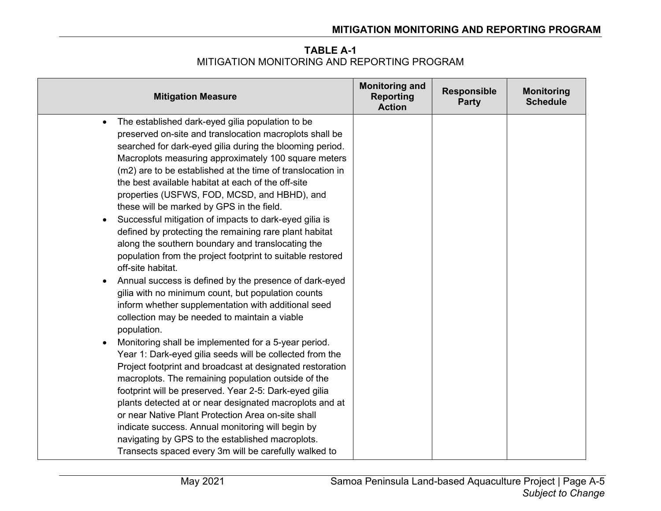**TABLE A-1** MITIGATION MONITORING AND REPORTING PROGRAM

| <b>Mitigation Measure</b>                                                                                                                                                                                                                                                                                                                                                                                                                                                                                                                                                                                                                                                                                                                                                                                                                                                                                                                                                                                                                                                                                                                                                                                                                                                                                                                                                                                                                                                                                              | <b>Monitoring and</b><br><b>Reporting</b><br><b>Action</b> | <b>Responsible</b><br><b>Party</b> | <b>Monitoring</b><br><b>Schedule</b> |
|------------------------------------------------------------------------------------------------------------------------------------------------------------------------------------------------------------------------------------------------------------------------------------------------------------------------------------------------------------------------------------------------------------------------------------------------------------------------------------------------------------------------------------------------------------------------------------------------------------------------------------------------------------------------------------------------------------------------------------------------------------------------------------------------------------------------------------------------------------------------------------------------------------------------------------------------------------------------------------------------------------------------------------------------------------------------------------------------------------------------------------------------------------------------------------------------------------------------------------------------------------------------------------------------------------------------------------------------------------------------------------------------------------------------------------------------------------------------------------------------------------------------|------------------------------------------------------------|------------------------------------|--------------------------------------|
| The established dark-eyed gilia population to be<br>$\bullet$<br>preserved on-site and translocation macroplots shall be<br>searched for dark-eyed gilia during the blooming period.<br>Macroplots measuring approximately 100 square meters<br>(m2) are to be established at the time of translocation in<br>the best available habitat at each of the off-site<br>properties (USFWS, FOD, MCSD, and HBHD), and<br>these will be marked by GPS in the field.<br>Successful mitigation of impacts to dark-eyed gilia is<br>$\bullet$<br>defined by protecting the remaining rare plant habitat<br>along the southern boundary and translocating the<br>population from the project footprint to suitable restored<br>off-site habitat.<br>Annual success is defined by the presence of dark-eyed<br>$\bullet$<br>gilia with no minimum count, but population counts<br>inform whether supplementation with additional seed<br>collection may be needed to maintain a viable<br>population.<br>Monitoring shall be implemented for a 5-year period.<br>Year 1: Dark-eyed gilia seeds will be collected from the<br>Project footprint and broadcast at designated restoration<br>macroplots. The remaining population outside of the<br>footprint will be preserved. Year 2-5: Dark-eyed gilia<br>plants detected at or near designated macroplots and at<br>or near Native Plant Protection Area on-site shall<br>indicate success. Annual monitoring will begin by<br>navigating by GPS to the established macroplots. |                                                            |                                    |                                      |
| Transects spaced every 3m will be carefully walked to                                                                                                                                                                                                                                                                                                                                                                                                                                                                                                                                                                                                                                                                                                                                                                                                                                                                                                                                                                                                                                                                                                                                                                                                                                                                                                                                                                                                                                                                  |                                                            |                                    |                                      |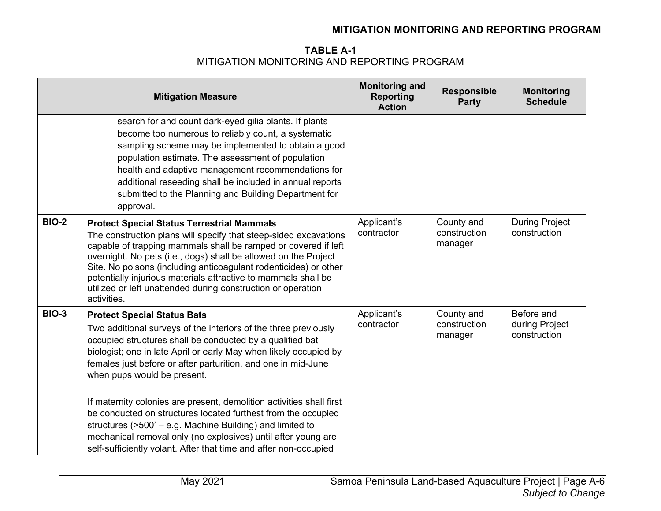**TABLE A-1** MITIGATION MONITORING AND REPORTING PROGRAM

|              | <b>Mitigation Measure</b>                                                                                                                                                                                                                                                                                                                                                                                                                                                                                                                        | <b>Monitoring and</b><br><b>Reporting</b><br><b>Action</b> | <b>Responsible</b><br><b>Party</b>    | <b>Monitoring</b><br><b>Schedule</b>         |
|--------------|--------------------------------------------------------------------------------------------------------------------------------------------------------------------------------------------------------------------------------------------------------------------------------------------------------------------------------------------------------------------------------------------------------------------------------------------------------------------------------------------------------------------------------------------------|------------------------------------------------------------|---------------------------------------|----------------------------------------------|
|              | search for and count dark-eyed gilia plants. If plants<br>become too numerous to reliably count, a systematic<br>sampling scheme may be implemented to obtain a good<br>population estimate. The assessment of population<br>health and adaptive management recommendations for<br>additional reseeding shall be included in annual reports<br>submitted to the Planning and Building Department for<br>approval.                                                                                                                                |                                                            |                                       |                                              |
| <b>BIO-2</b> | <b>Protect Special Status Terrestrial Mammals</b><br>The construction plans will specify that steep-sided excavations<br>capable of trapping mammals shall be ramped or covered if left<br>overnight. No pets (i.e., dogs) shall be allowed on the Project<br>Site. No poisons (including anticoagulant rodenticides) or other<br>potentially injurious materials attractive to mammals shall be<br>utilized or left unattended during construction or operation<br>activities.                                                                  | Applicant's<br>contractor                                  | County and<br>construction<br>manager | <b>During Project</b><br>construction        |
| <b>BIO-3</b> | <b>Protect Special Status Bats</b><br>Two additional surveys of the interiors of the three previously<br>occupied structures shall be conducted by a qualified bat<br>biologist; one in late April or early May when likely occupied by<br>females just before or after parturition, and one in mid-June<br>when pups would be present.<br>If maternity colonies are present, demolition activities shall first<br>be conducted on structures located furthest from the occupied<br>structures $($ >500' – e.g. Machine Building) and limited to | Applicant's<br>contractor                                  | County and<br>construction<br>manager | Before and<br>during Project<br>construction |
|              | mechanical removal only (no explosives) until after young are<br>self-sufficiently volant. After that time and after non-occupied                                                                                                                                                                                                                                                                                                                                                                                                                |                                                            |                                       |                                              |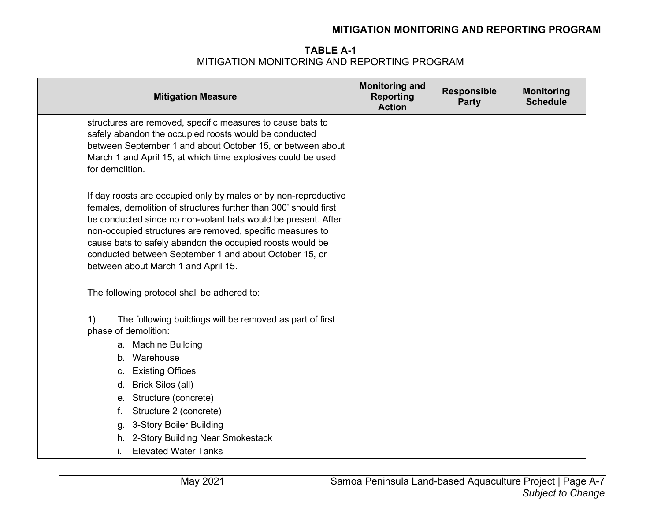**TABLE A-1** MITIGATION MONITORING AND REPORTING PROGRAM

| <b>Mitigation Measure</b>                                                                                                  | <b>Monitoring and</b><br><b>Reporting</b><br><b>Action</b> | <b>Responsible</b><br><b>Party</b> | <b>Monitoring</b><br><b>Schedule</b> |
|----------------------------------------------------------------------------------------------------------------------------|------------------------------------------------------------|------------------------------------|--------------------------------------|
| structures are removed, specific measures to cause bats to<br>safely abandon the occupied roosts would be conducted        |                                                            |                                    |                                      |
| between September 1 and about October 15, or between about                                                                 |                                                            |                                    |                                      |
| March 1 and April 15, at which time explosives could be used<br>for demolition.                                            |                                                            |                                    |                                      |
| If day roosts are occupied only by males or by non-reproductive                                                            |                                                            |                                    |                                      |
| females, demolition of structures further than 300' should first                                                           |                                                            |                                    |                                      |
| be conducted since no non-volant bats would be present. After<br>non-occupied structures are removed, specific measures to |                                                            |                                    |                                      |
| cause bats to safely abandon the occupied roosts would be                                                                  |                                                            |                                    |                                      |
| conducted between September 1 and about October 15, or                                                                     |                                                            |                                    |                                      |
| between about March 1 and April 15.                                                                                        |                                                            |                                    |                                      |
| The following protocol shall be adhered to:                                                                                |                                                            |                                    |                                      |
| The following buildings will be removed as part of first<br>1)                                                             |                                                            |                                    |                                      |
| phase of demolition:                                                                                                       |                                                            |                                    |                                      |
| a. Machine Building                                                                                                        |                                                            |                                    |                                      |
| b. Warehouse                                                                                                               |                                                            |                                    |                                      |
| <b>Existing Offices</b><br>C.                                                                                              |                                                            |                                    |                                      |
| Brick Silos (all)<br>d.                                                                                                    |                                                            |                                    |                                      |
| e. Structure (concrete)                                                                                                    |                                                            |                                    |                                      |
| Structure 2 (concrete)<br>f.                                                                                               |                                                            |                                    |                                      |
| 3-Story Boiler Building<br>g.                                                                                              |                                                            |                                    |                                      |
| h. 2-Story Building Near Smokestack                                                                                        |                                                            |                                    |                                      |
| <b>Elevated Water Tanks</b>                                                                                                |                                                            |                                    |                                      |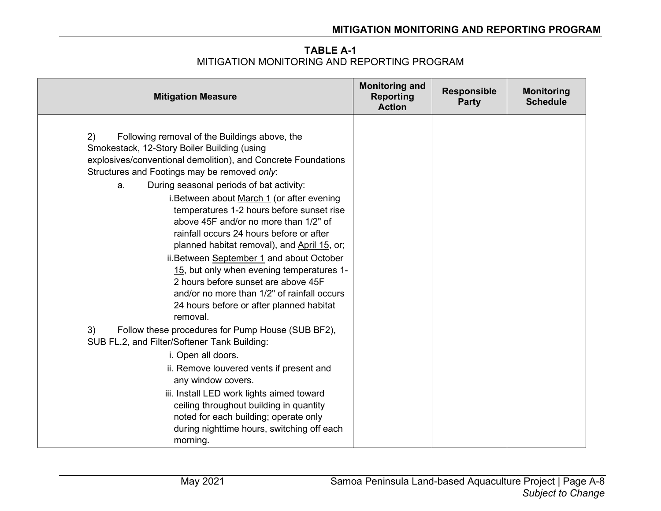**TABLE A-1** MITIGATION MONITORING AND REPORTING PROGRAM

| <b>Mitigation Measure</b>                                                                                                                                                                                                                                                                                                                                                                                                                                                                                                                                                                                                                                                                                                                                                                                                                                                                                                 | <b>Monitoring and</b><br><b>Reporting</b><br><b>Action</b> | <b>Responsible</b><br><b>Party</b> | <b>Monitoring</b><br><b>Schedule</b> |
|---------------------------------------------------------------------------------------------------------------------------------------------------------------------------------------------------------------------------------------------------------------------------------------------------------------------------------------------------------------------------------------------------------------------------------------------------------------------------------------------------------------------------------------------------------------------------------------------------------------------------------------------------------------------------------------------------------------------------------------------------------------------------------------------------------------------------------------------------------------------------------------------------------------------------|------------------------------------------------------------|------------------------------------|--------------------------------------|
| 2)<br>Following removal of the Buildings above, the<br>Smokestack, 12-Story Boiler Building (using<br>explosives/conventional demolition), and Concrete Foundations<br>Structures and Footings may be removed only:<br>During seasonal periods of bat activity:<br>a.<br>i. Between about March 1 (or after evening<br>temperatures 1-2 hours before sunset rise<br>above 45F and/or no more than 1/2" of<br>rainfall occurs 24 hours before or after<br>planned habitat removal), and April 15, or;<br>ii. Between September 1 and about October<br>15, but only when evening temperatures 1-<br>2 hours before sunset are above 45F<br>and/or no more than 1/2" of rainfall occurs<br>24 hours before or after planned habitat<br>removal.<br>3)<br>Follow these procedures for Pump House (SUB BF2),<br>SUB FL.2, and Filter/Softener Tank Building:<br>i. Open all doors.<br>ii. Remove louvered vents if present and |                                                            |                                    |                                      |
| any window covers.<br>iii. Install LED work lights aimed toward<br>ceiling throughout building in quantity<br>noted for each building; operate only<br>during nighttime hours, switching off each<br>morning.                                                                                                                                                                                                                                                                                                                                                                                                                                                                                                                                                                                                                                                                                                             |                                                            |                                    |                                      |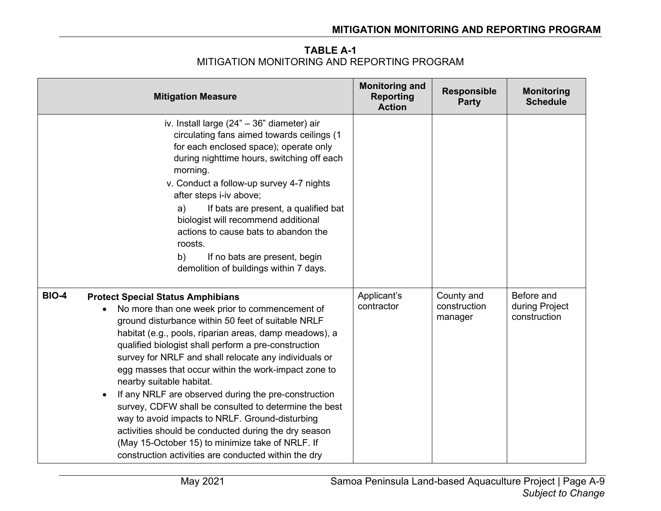| <b>TABLE A-1</b>                            |
|---------------------------------------------|
| MITIGATION MONITORING AND REPORTING PROGRAM |

| <b>Mitigation Measure</b>                                                                                                                                                                                                                                                                                                                                                                                                                                                                                                                                                                                                                                                                                                                                               | <b>Monitoring and</b><br><b>Reporting</b><br><b>Action</b> | <b>Responsible</b><br><b>Party</b>    | <b>Monitoring</b><br><b>Schedule</b>         |
|-------------------------------------------------------------------------------------------------------------------------------------------------------------------------------------------------------------------------------------------------------------------------------------------------------------------------------------------------------------------------------------------------------------------------------------------------------------------------------------------------------------------------------------------------------------------------------------------------------------------------------------------------------------------------------------------------------------------------------------------------------------------------|------------------------------------------------------------|---------------------------------------|----------------------------------------------|
| iv. Install large (24" - 36" diameter) air<br>circulating fans aimed towards ceilings (1<br>for each enclosed space); operate only<br>during nighttime hours, switching off each<br>morning.<br>v. Conduct a follow-up survey 4-7 nights<br>after steps i-iv above;<br>If bats are present, a qualified bat<br>a)<br>biologist will recommend additional<br>actions to cause bats to abandon the<br>roosts.<br>b)<br>If no bats are present, begin<br>demolition of buildings within 7 days.                                                                                                                                                                                                                                                                            |                                                            |                                       |                                              |
| <b>BIO-4</b><br><b>Protect Special Status Amphibians</b><br>No more than one week prior to commencement of<br>ground disturbance within 50 feet of suitable NRLF<br>habitat (e.g., pools, riparian areas, damp meadows), a<br>qualified biologist shall perform a pre-construction<br>survey for NRLF and shall relocate any individuals or<br>egg masses that occur within the work-impact zone to<br>nearby suitable habitat.<br>If any NRLF are observed during the pre-construction<br>survey, CDFW shall be consulted to determine the best<br>way to avoid impacts to NRLF. Ground-disturbing<br>activities should be conducted during the dry season<br>(May 15-October 15) to minimize take of NRLF. If<br>construction activities are conducted within the dry | Applicant's<br>contractor                                  | County and<br>construction<br>manager | Before and<br>during Project<br>construction |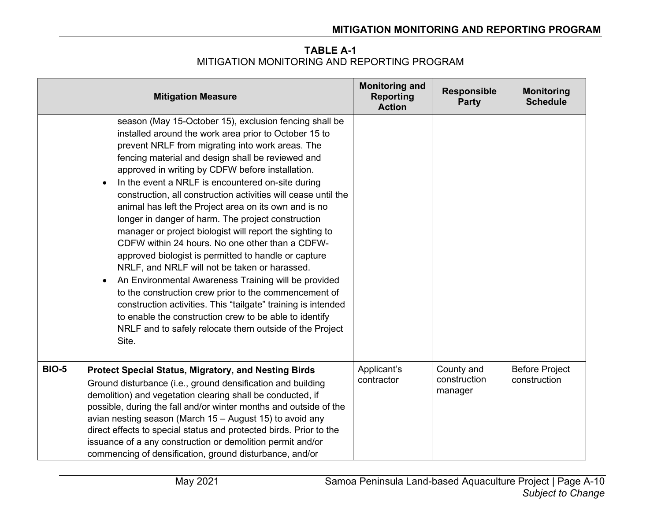**TABLE A-1** MITIGATION MONITORING AND REPORTING PROGRAM

|              | <b>Mitigation Measure</b>                                                                                                                                                                                                                                                                                                                                                                                                                                                                                                                                                                                                                                                                                                                                                                                                                                                                                                                                                                                                                                                            | <b>Monitoring and</b><br><b>Reporting</b><br><b>Action</b> | <b>Responsible</b><br><b>Party</b>    | <b>Monitoring</b><br><b>Schedule</b>  |
|--------------|--------------------------------------------------------------------------------------------------------------------------------------------------------------------------------------------------------------------------------------------------------------------------------------------------------------------------------------------------------------------------------------------------------------------------------------------------------------------------------------------------------------------------------------------------------------------------------------------------------------------------------------------------------------------------------------------------------------------------------------------------------------------------------------------------------------------------------------------------------------------------------------------------------------------------------------------------------------------------------------------------------------------------------------------------------------------------------------|------------------------------------------------------------|---------------------------------------|---------------------------------------|
|              | season (May 15-October 15), exclusion fencing shall be<br>installed around the work area prior to October 15 to<br>prevent NRLF from migrating into work areas. The<br>fencing material and design shall be reviewed and<br>approved in writing by CDFW before installation.<br>In the event a NRLF is encountered on-site during<br>$\bullet$<br>construction, all construction activities will cease until the<br>animal has left the Project area on its own and is no<br>longer in danger of harm. The project construction<br>manager or project biologist will report the sighting to<br>CDFW within 24 hours. No one other than a CDFW-<br>approved biologist is permitted to handle or capture<br>NRLF, and NRLF will not be taken or harassed.<br>An Environmental Awareness Training will be provided<br>$\bullet$<br>to the construction crew prior to the commencement of<br>construction activities. This "tailgate" training is intended<br>to enable the construction crew to be able to identify<br>NRLF and to safely relocate them outside of the Project<br>Site. |                                                            |                                       |                                       |
| <b>BIO-5</b> | <b>Protect Special Status, Migratory, and Nesting Birds</b><br>Ground disturbance (i.e., ground densification and building<br>demolition) and vegetation clearing shall be conducted, if<br>possible, during the fall and/or winter months and outside of the<br>avian nesting season (March 15 - August 15) to avoid any<br>direct effects to special status and protected birds. Prior to the<br>issuance of a any construction or demolition permit and/or<br>commencing of densification, ground disturbance, and/or                                                                                                                                                                                                                                                                                                                                                                                                                                                                                                                                                             | Applicant's<br>contractor                                  | County and<br>construction<br>manager | <b>Before Project</b><br>construction |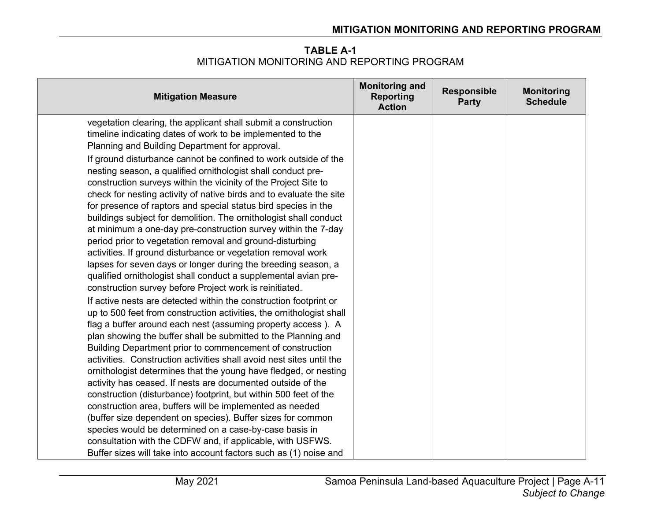**TABLE A-1** MITIGATION MONITORING AND REPORTING PROGRAM

| <b>Mitigation Measure</b>                                                                                                                                                                                                                                                                                                                                                                                                                                                                                                                                                                                                                                                      | <b>Monitoring and</b><br><b>Reporting</b><br><b>Action</b> | <b>Responsible</b><br><b>Party</b> | <b>Monitoring</b><br><b>Schedule</b> |
|--------------------------------------------------------------------------------------------------------------------------------------------------------------------------------------------------------------------------------------------------------------------------------------------------------------------------------------------------------------------------------------------------------------------------------------------------------------------------------------------------------------------------------------------------------------------------------------------------------------------------------------------------------------------------------|------------------------------------------------------------|------------------------------------|--------------------------------------|
| vegetation clearing, the applicant shall submit a construction<br>timeline indicating dates of work to be implemented to the<br>Planning and Building Department for approval.                                                                                                                                                                                                                                                                                                                                                                                                                                                                                                 |                                                            |                                    |                                      |
| If ground disturbance cannot be confined to work outside of the<br>nesting season, a qualified ornithologist shall conduct pre-<br>construction surveys within the vicinity of the Project Site to<br>check for nesting activity of native birds and to evaluate the site<br>for presence of raptors and special status bird species in the<br>buildings subject for demolition. The ornithologist shall conduct<br>at minimum a one-day pre-construction survey within the 7-day<br>period prior to vegetation removal and ground-disturbing<br>activities. If ground disturbance or vegetation removal work<br>lapses for seven days or longer during the breeding season, a |                                                            |                                    |                                      |
| qualified ornithologist shall conduct a supplemental avian pre-<br>construction survey before Project work is reinitiated.                                                                                                                                                                                                                                                                                                                                                                                                                                                                                                                                                     |                                                            |                                    |                                      |
| If active nests are detected within the construction footprint or<br>up to 500 feet from construction activities, the ornithologist shall<br>flag a buffer around each nest (assuming property access). A<br>plan showing the buffer shall be submitted to the Planning and                                                                                                                                                                                                                                                                                                                                                                                                    |                                                            |                                    |                                      |
| Building Department prior to commencement of construction<br>activities. Construction activities shall avoid nest sites until the<br>ornithologist determines that the young have fledged, or nesting<br>activity has ceased. If nests are documented outside of the                                                                                                                                                                                                                                                                                                                                                                                                           |                                                            |                                    |                                      |
| construction (disturbance) footprint, but within 500 feet of the<br>construction area, buffers will be implemented as needed<br>(buffer size dependent on species). Buffer sizes for common<br>species would be determined on a case-by-case basis in                                                                                                                                                                                                                                                                                                                                                                                                                          |                                                            |                                    |                                      |
| consultation with the CDFW and, if applicable, with USFWS.<br>Buffer sizes will take into account factors such as (1) noise and                                                                                                                                                                                                                                                                                                                                                                                                                                                                                                                                                |                                                            |                                    |                                      |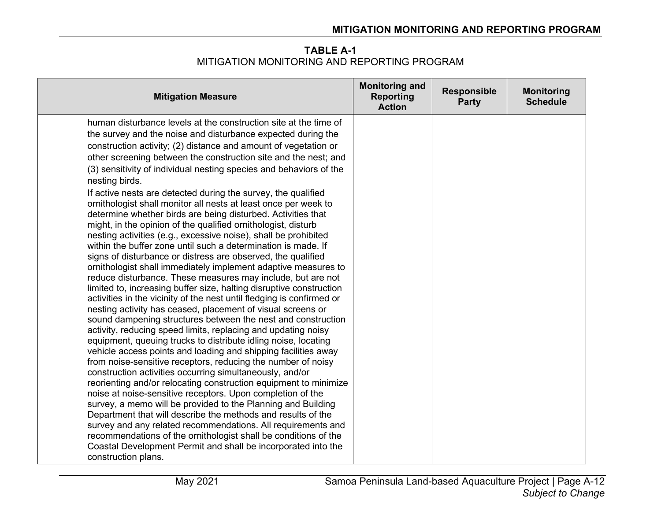**TABLE A-1** MITIGATION MONITORING AND REPORTING PROGRAM

| <b>Mitigation Measure</b>                                                                                                                                                                                                                                                                                                                                                                                                                                                                                                                                                                                                                                                                                                                                                                                                                                                                                                                                                                                                                                                                                                                                                                                                                                                                                                                                                                                                                                                                                                                                                                                                                                                                                                                                                                                                                                                                                                                                                                                                                                                             | <b>Monitoring and</b><br><b>Reporting</b><br><b>Action</b> | <b>Responsible</b><br><b>Party</b> | <b>Monitoring</b><br><b>Schedule</b> |
|---------------------------------------------------------------------------------------------------------------------------------------------------------------------------------------------------------------------------------------------------------------------------------------------------------------------------------------------------------------------------------------------------------------------------------------------------------------------------------------------------------------------------------------------------------------------------------------------------------------------------------------------------------------------------------------------------------------------------------------------------------------------------------------------------------------------------------------------------------------------------------------------------------------------------------------------------------------------------------------------------------------------------------------------------------------------------------------------------------------------------------------------------------------------------------------------------------------------------------------------------------------------------------------------------------------------------------------------------------------------------------------------------------------------------------------------------------------------------------------------------------------------------------------------------------------------------------------------------------------------------------------------------------------------------------------------------------------------------------------------------------------------------------------------------------------------------------------------------------------------------------------------------------------------------------------------------------------------------------------------------------------------------------------------------------------------------------------|------------------------------------------------------------|------------------------------------|--------------------------------------|
| human disturbance levels at the construction site at the time of<br>the survey and the noise and disturbance expected during the<br>construction activity; (2) distance and amount of vegetation or<br>other screening between the construction site and the nest; and<br>(3) sensitivity of individual nesting species and behaviors of the<br>nesting birds.<br>If active nests are detected during the survey, the qualified<br>ornithologist shall monitor all nests at least once per week to<br>determine whether birds are being disturbed. Activities that<br>might, in the opinion of the qualified ornithologist, disturb<br>nesting activities (e.g., excessive noise), shall be prohibited<br>within the buffer zone until such a determination is made. If<br>signs of disturbance or distress are observed, the qualified<br>ornithologist shall immediately implement adaptive measures to<br>reduce disturbance. These measures may include, but are not<br>limited to, increasing buffer size, halting disruptive construction<br>activities in the vicinity of the nest until fledging is confirmed or<br>nesting activity has ceased, placement of visual screens or<br>sound dampening structures between the nest and construction<br>activity, reducing speed limits, replacing and updating noisy<br>equipment, queuing trucks to distribute idling noise, locating<br>vehicle access points and loading and shipping facilities away<br>from noise-sensitive receptors, reducing the number of noisy<br>construction activities occurring simultaneously, and/or<br>reorienting and/or relocating construction equipment to minimize<br>noise at noise-sensitive receptors. Upon completion of the<br>survey, a memo will be provided to the Planning and Building<br>Department that will describe the methods and results of the<br>survey and any related recommendations. All requirements and<br>recommendations of the ornithologist shall be conditions of the<br>Coastal Development Permit and shall be incorporated into the<br>construction plans. |                                                            |                                    |                                      |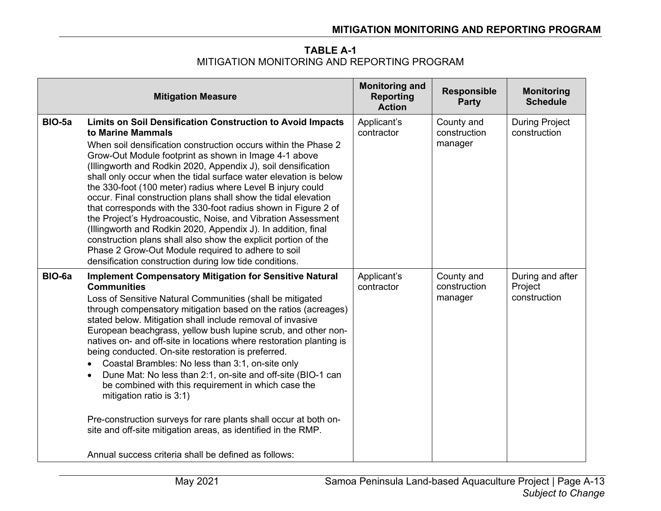**TABLE A-1** MITIGATION MONITORING AND REPORTING PROGRAM

|        | <b>Mitigation Measure</b>                                                                                                                                                                                                                                                                                                                                                                                                                                                                                                                                                                                                                                                                                                                                                                                                                                                          | <b>Monitoring and</b><br><b>Reporting</b><br><b>Action</b> | <b>Responsible</b><br><b>Party</b>    | <b>Monitoring</b><br><b>Schedule</b>        |
|--------|------------------------------------------------------------------------------------------------------------------------------------------------------------------------------------------------------------------------------------------------------------------------------------------------------------------------------------------------------------------------------------------------------------------------------------------------------------------------------------------------------------------------------------------------------------------------------------------------------------------------------------------------------------------------------------------------------------------------------------------------------------------------------------------------------------------------------------------------------------------------------------|------------------------------------------------------------|---------------------------------------|---------------------------------------------|
| BIO-5a | <b>Limits on Soil Densification Construction to Avoid Impacts</b><br>to Marine Mammals<br>When soil densification construction occurs within the Phase 2<br>Grow-Out Module footprint as shown in Image 4-1 above<br>(Illingworth and Rodkin 2020, Appendix J), soil densification<br>shall only occur when the tidal surface water elevation is below<br>the 330-foot (100 meter) radius where Level B injury could<br>occur. Final construction plans shall show the tidal elevation<br>that corresponds with the 330-foot radius shown in Figure 2 of<br>the Project's Hydroacoustic, Noise, and Vibration Assessment<br>(Illingworth and Rodkin 2020, Appendix J). In addition, final<br>construction plans shall also show the explicit portion of the<br>Phase 2 Grow-Out Module required to adhere to soil<br>densification construction during low tide conditions.        | Applicant's<br>contractor                                  | County and<br>construction<br>manager | <b>During Project</b><br>construction       |
| BIO-6a | <b>Implement Compensatory Mitigation for Sensitive Natural</b><br><b>Communities</b><br>Loss of Sensitive Natural Communities (shall be mitigated<br>through compensatory mitigation based on the ratios (acreages)<br>stated below. Mitigation shall include removal of invasive<br>European beachgrass, yellow bush lupine scrub, and other non-<br>natives on- and off-site in locations where restoration planting is<br>being conducted. On-site restoration is preferred.<br>Coastal Brambles: No less than 3:1, on-site only<br>Dune Mat: No less than 2:1, on-site and off-site (BIO-1 can<br>be combined with this requirement in which case the<br>mitigation ratio is 3:1)<br>Pre-construction surveys for rare plants shall occur at both on-<br>site and off-site mitigation areas, as identified in the RMP.<br>Annual success criteria shall be defined as follows: | Applicant's<br>contractor                                  | County and<br>construction<br>manager | During and after<br>Project<br>construction |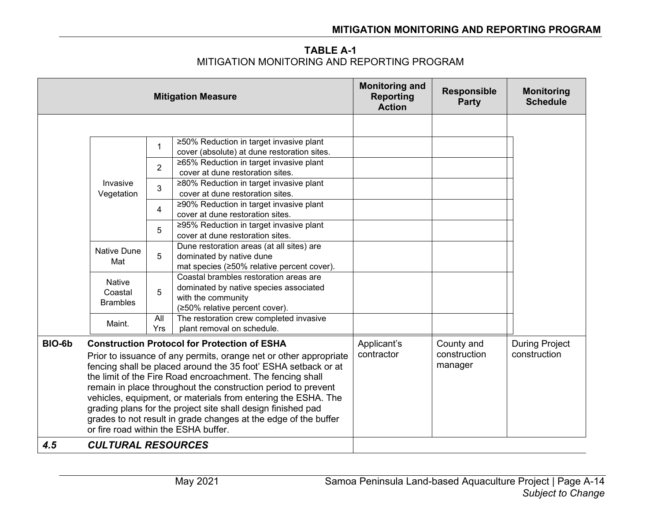**TABLE A-1** MITIGATION MONITORING AND REPORTING PROGRAM

|        |                                             |                | <b>Mitigation Measure</b>                                                                                                                                                                                                                                                                                                                                                                                                                                                                                                     | <b>Monitoring and</b><br><b>Reporting</b><br><b>Action</b> | <b>Responsible</b><br><b>Party</b>    | <b>Monitoring</b><br><b>Schedule</b>  |
|--------|---------------------------------------------|----------------|-------------------------------------------------------------------------------------------------------------------------------------------------------------------------------------------------------------------------------------------------------------------------------------------------------------------------------------------------------------------------------------------------------------------------------------------------------------------------------------------------------------------------------|------------------------------------------------------------|---------------------------------------|---------------------------------------|
|        |                                             |                |                                                                                                                                                                                                                                                                                                                                                                                                                                                                                                                               |                                                            |                                       |                                       |
|        |                                             | 1              | ≥50% Reduction in target invasive plant<br>cover (absolute) at dune restoration sites.                                                                                                                                                                                                                                                                                                                                                                                                                                        |                                                            |                                       |                                       |
|        |                                             | $\overline{2}$ | ≥65% Reduction in target invasive plant<br>cover at dune restoration sites.                                                                                                                                                                                                                                                                                                                                                                                                                                                   |                                                            |                                       |                                       |
|        | Invasive<br>Vegetation                      | 3              | ≥80% Reduction in target invasive plant<br>cover at dune restoration sites.                                                                                                                                                                                                                                                                                                                                                                                                                                                   |                                                            |                                       |                                       |
|        |                                             | 4              | ≥90% Reduction in target invasive plant<br>cover at dune restoration sites.                                                                                                                                                                                                                                                                                                                                                                                                                                                   |                                                            |                                       |                                       |
|        |                                             | 5              | ≥95% Reduction in target invasive plant<br>cover at dune restoration sites.                                                                                                                                                                                                                                                                                                                                                                                                                                                   |                                                            |                                       |                                       |
|        | <b>Native Dune</b><br>Mat                   | 5              | Dune restoration areas (at all sites) are<br>dominated by native dune<br>mat species (≥50% relative percent cover).                                                                                                                                                                                                                                                                                                                                                                                                           |                                                            |                                       |                                       |
|        | <b>Native</b><br>Coastal<br><b>Brambles</b> | 5              | Coastal brambles restoration areas are<br>dominated by native species associated<br>with the community<br>(≥50% relative percent cover).                                                                                                                                                                                                                                                                                                                                                                                      |                                                            |                                       |                                       |
|        | Maint.                                      | All<br>Yrs     | The restoration crew completed invasive<br>plant removal on schedule.                                                                                                                                                                                                                                                                                                                                                                                                                                                         |                                                            |                                       |                                       |
| BIO-6b | or fire road within the ESHA buffer.        |                | <b>Construction Protocol for Protection of ESHA</b><br>Prior to issuance of any permits, orange net or other appropriate<br>fencing shall be placed around the 35 foot' ESHA setback or at<br>the limit of the Fire Road encroachment. The fencing shall<br>remain in place throughout the construction period to prevent<br>vehicles, equipment, or materials from entering the ESHA. The<br>grading plans for the project site shall design finished pad<br>grades to not result in grade changes at the edge of the buffer | Applicant's<br>contractor                                  | County and<br>construction<br>manager | <b>During Project</b><br>construction |
| 4.5    | <b>CULTURAL RESOURCES</b>                   |                |                                                                                                                                                                                                                                                                                                                                                                                                                                                                                                                               |                                                            |                                       |                                       |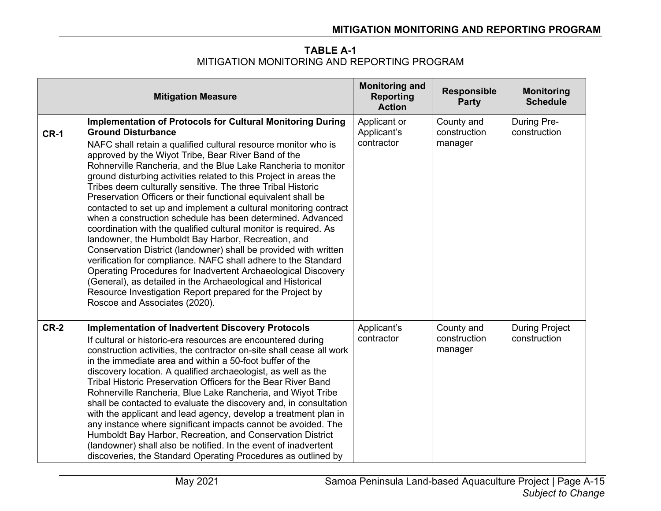**TABLE A-1** MITIGATION MONITORING AND REPORTING PROGRAM

|             | <b>Mitigation Measure</b>                                                                                                                                                                                                                                                                                                                                                                                                                                                                                                                                                                                                                                                                                                                                                                                                                                                                                                                                                                                                                                                                                                      | <b>Monitoring and</b><br><b>Reporting</b><br><b>Action</b> | <b>Responsible</b><br><b>Party</b>    | <b>Monitoring</b><br><b>Schedule</b>  |
|-------------|--------------------------------------------------------------------------------------------------------------------------------------------------------------------------------------------------------------------------------------------------------------------------------------------------------------------------------------------------------------------------------------------------------------------------------------------------------------------------------------------------------------------------------------------------------------------------------------------------------------------------------------------------------------------------------------------------------------------------------------------------------------------------------------------------------------------------------------------------------------------------------------------------------------------------------------------------------------------------------------------------------------------------------------------------------------------------------------------------------------------------------|------------------------------------------------------------|---------------------------------------|---------------------------------------|
| <b>CR-1</b> | <b>Implementation of Protocols for Cultural Monitoring During</b><br><b>Ground Disturbance</b><br>NAFC shall retain a qualified cultural resource monitor who is<br>approved by the Wiyot Tribe, Bear River Band of the<br>Rohnerville Rancheria, and the Blue Lake Rancheria to monitor<br>ground disturbing activities related to this Project in areas the<br>Tribes deem culturally sensitive. The three Tribal Historic<br>Preservation Officers or their functional equivalent shall be<br>contacted to set up and implement a cultural monitoring contract<br>when a construction schedule has been determined. Advanced<br>coordination with the qualified cultural monitor is required. As<br>landowner, the Humboldt Bay Harbor, Recreation, and<br>Conservation District (landowner) shall be provided with written<br>verification for compliance. NAFC shall adhere to the Standard<br>Operating Procedures for Inadvertent Archaeological Discovery<br>(General), as detailed in the Archaeological and Historical<br>Resource Investigation Report prepared for the Project by<br>Roscoe and Associates (2020). | Applicant or<br>Applicant's<br>contractor                  | County and<br>construction<br>manager | During Pre-<br>construction           |
| <b>CR-2</b> | <b>Implementation of Inadvertent Discovery Protocols</b><br>If cultural or historic-era resources are encountered during<br>construction activities, the contractor on-site shall cease all work<br>in the immediate area and within a 50-foot buffer of the<br>discovery location. A qualified archaeologist, as well as the<br>Tribal Historic Preservation Officers for the Bear River Band<br>Rohnerville Rancheria, Blue Lake Rancheria, and Wiyot Tribe<br>shall be contacted to evaluate the discovery and, in consultation<br>with the applicant and lead agency, develop a treatment plan in<br>any instance where significant impacts cannot be avoided. The<br>Humboldt Bay Harbor, Recreation, and Conservation District<br>(landowner) shall also be notified. In the event of inadvertent<br>discoveries, the Standard Operating Procedures as outlined by                                                                                                                                                                                                                                                       | Applicant's<br>contractor                                  | County and<br>construction<br>manager | <b>During Project</b><br>construction |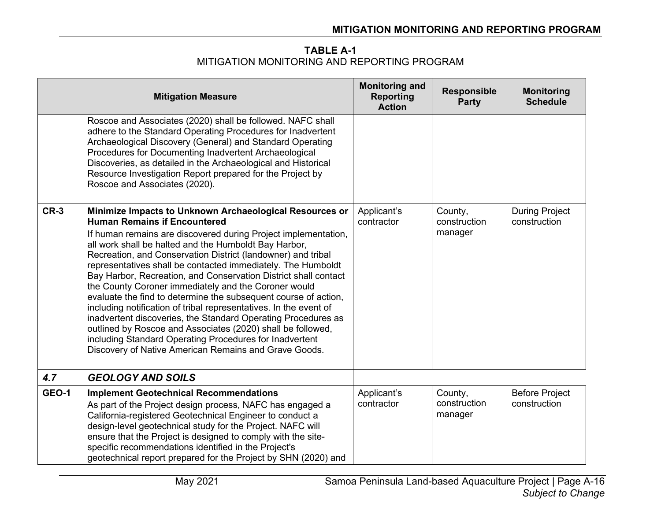**TABLE A-1** MITIGATION MONITORING AND REPORTING PROGRAM

|              | <b>Mitigation Measure</b>                                                                                                                                                                                                                                                                                                                                                                                                                                                                                                                                                                                                                                                                                                                                                                                                                                                        | <b>Monitoring and</b><br><b>Reporting</b><br><b>Action</b> | <b>Responsible</b><br><b>Party</b> | <b>Monitoring</b><br><b>Schedule</b>  |
|--------------|----------------------------------------------------------------------------------------------------------------------------------------------------------------------------------------------------------------------------------------------------------------------------------------------------------------------------------------------------------------------------------------------------------------------------------------------------------------------------------------------------------------------------------------------------------------------------------------------------------------------------------------------------------------------------------------------------------------------------------------------------------------------------------------------------------------------------------------------------------------------------------|------------------------------------------------------------|------------------------------------|---------------------------------------|
|              | Roscoe and Associates (2020) shall be followed. NAFC shall<br>adhere to the Standard Operating Procedures for Inadvertent<br>Archaeological Discovery (General) and Standard Operating<br>Procedures for Documenting Inadvertent Archaeological<br>Discoveries, as detailed in the Archaeological and Historical<br>Resource Investigation Report prepared for the Project by<br>Roscoe and Associates (2020).                                                                                                                                                                                                                                                                                                                                                                                                                                                                   |                                                            |                                    |                                       |
| <b>CR-3</b>  | Minimize Impacts to Unknown Archaeological Resources or<br><b>Human Remains if Encountered</b><br>If human remains are discovered during Project implementation,<br>all work shall be halted and the Humboldt Bay Harbor,<br>Recreation, and Conservation District (landowner) and tribal<br>representatives shall be contacted immediately. The Humboldt<br>Bay Harbor, Recreation, and Conservation District shall contact<br>the County Coroner immediately and the Coroner would<br>evaluate the find to determine the subsequent course of action,<br>including notification of tribal representatives. In the event of<br>inadvertent discoveries, the Standard Operating Procedures as<br>outlined by Roscoe and Associates (2020) shall be followed,<br>including Standard Operating Procedures for Inadvertent<br>Discovery of Native American Remains and Grave Goods. | Applicant's<br>contractor                                  | County,<br>construction<br>manager | <b>During Project</b><br>construction |
| 4.7          | <b>GEOLOGY AND SOILS</b>                                                                                                                                                                                                                                                                                                                                                                                                                                                                                                                                                                                                                                                                                                                                                                                                                                                         |                                                            |                                    |                                       |
| <b>GEO-1</b> | <b>Implement Geotechnical Recommendations</b><br>As part of the Project design process, NAFC has engaged a<br>California-registered Geotechnical Engineer to conduct a<br>design-level geotechnical study for the Project. NAFC will<br>ensure that the Project is designed to comply with the site-<br>specific recommendations identified in the Project's<br>geotechnical report prepared for the Project by SHN (2020) and                                                                                                                                                                                                                                                                                                                                                                                                                                                   | Applicant's<br>contractor                                  | County,<br>construction<br>manager | <b>Before Project</b><br>construction |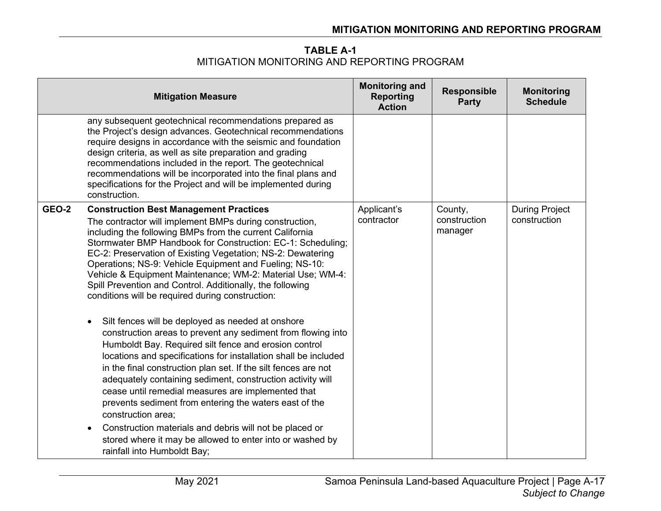**TABLE A-1** MITIGATION MONITORING AND REPORTING PROGRAM

|              | <b>Mitigation Measure</b>                                                                                                                                                                                                                                                                                                                                                                                                                                                                                                                                                      | <b>Monitoring and</b><br><b>Reporting</b><br><b>Action</b> | <b>Responsible</b><br><b>Party</b> | <b>Monitoring</b><br><b>Schedule</b>  |
|--------------|--------------------------------------------------------------------------------------------------------------------------------------------------------------------------------------------------------------------------------------------------------------------------------------------------------------------------------------------------------------------------------------------------------------------------------------------------------------------------------------------------------------------------------------------------------------------------------|------------------------------------------------------------|------------------------------------|---------------------------------------|
|              | any subsequent geotechnical recommendations prepared as<br>the Project's design advances. Geotechnical recommendations<br>require designs in accordance with the seismic and foundation<br>design criteria, as well as site preparation and grading<br>recommendations included in the report. The geotechnical<br>recommendations will be incorporated into the final plans and<br>specifications for the Project and will be implemented during<br>construction.                                                                                                             |                                                            |                                    |                                       |
| <b>GEO-2</b> | <b>Construction Best Management Practices</b><br>The contractor will implement BMPs during construction,<br>including the following BMPs from the current California<br>Stormwater BMP Handbook for Construction: EC-1: Scheduling;<br>EC-2: Preservation of Existing Vegetation; NS-2: Dewatering<br>Operations; NS-9: Vehicle Equipment and Fueling; NS-10:<br>Vehicle & Equipment Maintenance; WM-2: Material Use; WM-4:<br>Spill Prevention and Control. Additionally, the following<br>conditions will be required during construction:                                   | Applicant's<br>contractor                                  | County,<br>construction<br>manager | <b>During Project</b><br>construction |
|              | Silt fences will be deployed as needed at onshore<br>construction areas to prevent any sediment from flowing into<br>Humboldt Bay. Required silt fence and erosion control<br>locations and specifications for installation shall be included<br>in the final construction plan set. If the silt fences are not<br>adequately containing sediment, construction activity will<br>cease until remedial measures are implemented that<br>prevents sediment from entering the waters east of the<br>construction area;<br>Construction materials and debris will not be placed or |                                                            |                                    |                                       |
|              | stored where it may be allowed to enter into or washed by<br>rainfall into Humboldt Bay;                                                                                                                                                                                                                                                                                                                                                                                                                                                                                       |                                                            |                                    |                                       |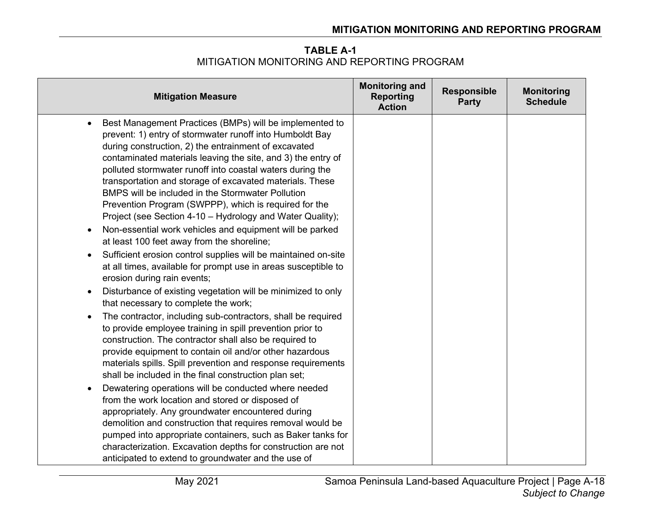**TABLE A-1** MITIGATION MONITORING AND REPORTING PROGRAM

| Best Management Practices (BMPs) will be implemented to<br>$\bullet$<br>prevent: 1) entry of stormwater runoff into Humboldt Bay                                                                                                                                                                                                                                                                                                                                                                                                                                                                                                                                                                                                                                                                                                                                                                                                                                                                                                                                                                                                                                                                                                                                                                                                                                                                                                                                                                                                                                                                                                                                               |  |
|--------------------------------------------------------------------------------------------------------------------------------------------------------------------------------------------------------------------------------------------------------------------------------------------------------------------------------------------------------------------------------------------------------------------------------------------------------------------------------------------------------------------------------------------------------------------------------------------------------------------------------------------------------------------------------------------------------------------------------------------------------------------------------------------------------------------------------------------------------------------------------------------------------------------------------------------------------------------------------------------------------------------------------------------------------------------------------------------------------------------------------------------------------------------------------------------------------------------------------------------------------------------------------------------------------------------------------------------------------------------------------------------------------------------------------------------------------------------------------------------------------------------------------------------------------------------------------------------------------------------------------------------------------------------------------|--|
| during construction, 2) the entrainment of excavated<br>contaminated materials leaving the site, and 3) the entry of<br>polluted stormwater runoff into coastal waters during the<br>transportation and storage of excavated materials. These<br>BMPS will be included in the Stormwater Pollution<br>Prevention Program (SWPPP), which is required for the<br>Project (see Section 4-10 – Hydrology and Water Quality);<br>Non-essential work vehicles and equipment will be parked<br>$\bullet$<br>at least 100 feet away from the shoreline;<br>Sufficient erosion control supplies will be maintained on-site<br>$\bullet$<br>at all times, available for prompt use in areas susceptible to<br>erosion during rain events;<br>Disturbance of existing vegetation will be minimized to only<br>$\bullet$<br>that necessary to complete the work;<br>The contractor, including sub-contractors, shall be required<br>$\bullet$<br>to provide employee training in spill prevention prior to<br>construction. The contractor shall also be required to<br>provide equipment to contain oil and/or other hazardous<br>materials spills. Spill prevention and response requirements<br>shall be included in the final construction plan set;<br>Dewatering operations will be conducted where needed<br>$\bullet$<br>from the work location and stored or disposed of<br>appropriately. Any groundwater encountered during<br>demolition and construction that requires removal would be<br>pumped into appropriate containers, such as Baker tanks for<br>characterization. Excavation depths for construction are not<br>anticipated to extend to groundwater and the use of |  |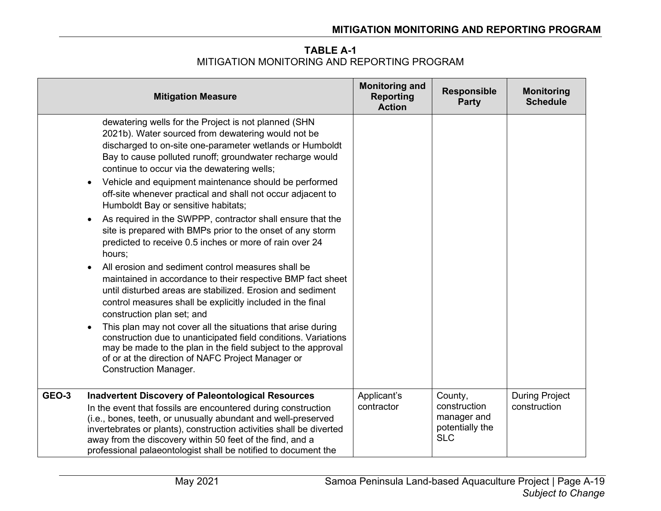**TABLE A-1** MITIGATION MONITORING AND REPORTING PROGRAM

| <b>Mitigation Measure</b>                                                                                                                                                                                                                                                                                                                                                                                                                                                                                                                                                                                                                                                                                                                                                                                                                                                                                                                                                                                                                                                                                                                                                                                               | <b>Monitoring and</b><br><b>Reporting</b><br><b>Action</b> | <b>Responsible</b><br><b>Party</b>                                      | <b>Monitoring</b><br><b>Schedule</b>  |
|-------------------------------------------------------------------------------------------------------------------------------------------------------------------------------------------------------------------------------------------------------------------------------------------------------------------------------------------------------------------------------------------------------------------------------------------------------------------------------------------------------------------------------------------------------------------------------------------------------------------------------------------------------------------------------------------------------------------------------------------------------------------------------------------------------------------------------------------------------------------------------------------------------------------------------------------------------------------------------------------------------------------------------------------------------------------------------------------------------------------------------------------------------------------------------------------------------------------------|------------------------------------------------------------|-------------------------------------------------------------------------|---------------------------------------|
| dewatering wells for the Project is not planned (SHN<br>2021b). Water sourced from dewatering would not be<br>discharged to on-site one-parameter wetlands or Humboldt<br>Bay to cause polluted runoff; groundwater recharge would<br>continue to occur via the dewatering wells;<br>Vehicle and equipment maintenance should be performed<br>off-site whenever practical and shall not occur adjacent to<br>Humboldt Bay or sensitive habitats;<br>As required in the SWPPP, contractor shall ensure that the<br>site is prepared with BMPs prior to the onset of any storm<br>predicted to receive 0.5 inches or more of rain over 24<br>hours;<br>All erosion and sediment control measures shall be<br>maintained in accordance to their respective BMP fact sheet<br>until disturbed areas are stabilized. Erosion and sediment<br>control measures shall be explicitly included in the final<br>construction plan set; and<br>This plan may not cover all the situations that arise during<br>construction due to unanticipated field conditions. Variations<br>may be made to the plan in the field subject to the approval<br>of or at the direction of NAFC Project Manager or<br><b>Construction Manager.</b> |                                                            |                                                                         |                                       |
| <b>GEO-3</b><br><b>Inadvertent Discovery of Paleontological Resources</b><br>In the event that fossils are encountered during construction<br>(i.e., bones, teeth, or unusually abundant and well-preserved<br>invertebrates or plants), construction activities shall be diverted<br>away from the discovery within 50 feet of the find, and a<br>professional palaeontologist shall be notified to document the                                                                                                                                                                                                                                                                                                                                                                                                                                                                                                                                                                                                                                                                                                                                                                                                       | Applicant's<br>contractor                                  | County,<br>construction<br>manager and<br>potentially the<br><b>SLC</b> | <b>During Project</b><br>construction |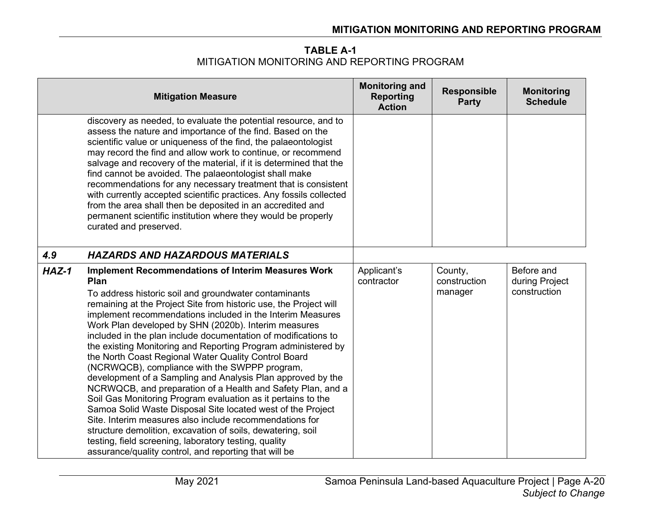**TABLE A-1** MITIGATION MONITORING AND REPORTING PROGRAM

|         | <b>Mitigation Measure</b>                                                                                                                                                                                                                                                                                                                                                                                                                                                                                                                                                                                                                                                                                                                                                                                                                                                                                                                                                                                                                                                  | <b>Monitoring and</b><br><b>Reporting</b><br><b>Action</b> | <b>Responsible</b><br><b>Party</b> | <b>Monitoring</b><br><b>Schedule</b>         |
|---------|----------------------------------------------------------------------------------------------------------------------------------------------------------------------------------------------------------------------------------------------------------------------------------------------------------------------------------------------------------------------------------------------------------------------------------------------------------------------------------------------------------------------------------------------------------------------------------------------------------------------------------------------------------------------------------------------------------------------------------------------------------------------------------------------------------------------------------------------------------------------------------------------------------------------------------------------------------------------------------------------------------------------------------------------------------------------------|------------------------------------------------------------|------------------------------------|----------------------------------------------|
|         | discovery as needed, to evaluate the potential resource, and to<br>assess the nature and importance of the find. Based on the<br>scientific value or uniqueness of the find, the palaeontologist<br>may record the find and allow work to continue, or recommend<br>salvage and recovery of the material, if it is determined that the<br>find cannot be avoided. The palaeontologist shall make<br>recommendations for any necessary treatment that is consistent<br>with currently accepted scientific practices. Any fossils collected<br>from the area shall then be deposited in an accredited and<br>permanent scientific institution where they would be properly<br>curated and preserved.                                                                                                                                                                                                                                                                                                                                                                         |                                                            |                                    |                                              |
| 4.9     | <b>HAZARDS AND HAZARDOUS MATERIALS</b>                                                                                                                                                                                                                                                                                                                                                                                                                                                                                                                                                                                                                                                                                                                                                                                                                                                                                                                                                                                                                                     |                                                            |                                    |                                              |
| $HAZ-1$ | <b>Implement Recommendations of Interim Measures Work</b><br>Plan<br>To address historic soil and groundwater contaminants<br>remaining at the Project Site from historic use, the Project will<br>implement recommendations included in the Interim Measures<br>Work Plan developed by SHN (2020b). Interim measures<br>included in the plan include documentation of modifications to<br>the existing Monitoring and Reporting Program administered by<br>the North Coast Regional Water Quality Control Board<br>(NCRWQCB), compliance with the SWPPP program,<br>development of a Sampling and Analysis Plan approved by the<br>NCRWQCB, and preparation of a Health and Safety Plan, and a<br>Soil Gas Monitoring Program evaluation as it pertains to the<br>Samoa Solid Waste Disposal Site located west of the Project<br>Site. Interim measures also include recommendations for<br>structure demolition, excavation of soils, dewatering, soil<br>testing, field screening, laboratory testing, quality<br>assurance/quality control, and reporting that will be | Applicant's<br>contractor                                  | County,<br>construction<br>manager | Before and<br>during Project<br>construction |